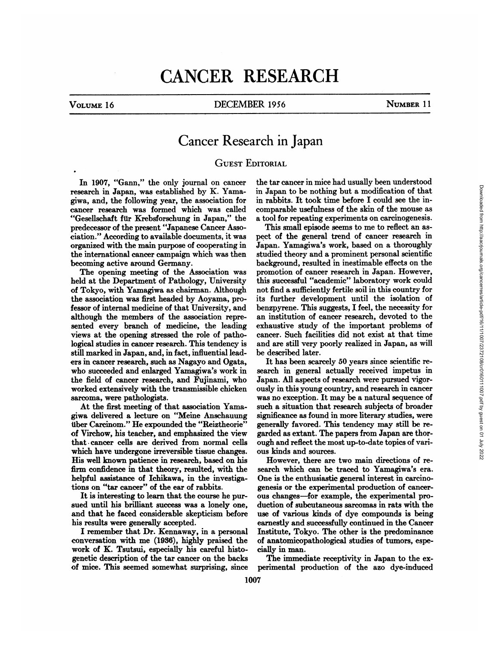# CANCER RESEARCH

### VOLUME 16 **DECEMBER 1956** NUMBER 11

## Cancer Research in Japan

### **GUEST EDITORIAL**

In 1907, "Gann," the only journal on cancer research in Japan, was established by K. Yamagiwa, and, the following year, the association for cancer research was formed which was called "Gesellschaft für Krebsforschung in Japan," the predecessor of the present "Japanese Cancer Asso ciation." According to available documents, it was organized with the main purpose of cooperating in the international cancer campaign which was then becoming active around Germany.

held at the Department of Pathology, University of Tokyo, with Yamagiwa as chairman. Although the association was first headed by Aoyama, pro fessor of internal medicine of that University, and although the members of the association repre sented every branch of medicine, the leading views at the opening stressed the role of patho logical studies in cancer research. This tendency is still marked in Japan, and, in fact, influential leaders in cancer research, such as Nagayo and Ogata, who succeeded and enlarged Yamagiwa's work in the field of cancer research, and Fujinami, who worked extensively with the transmissible chicken sarcoma, were pathologists.

At the first meeting of that association Yama giwa delivered <sup>a</sup> lecture on "Meine Anschauung überCarcinom." He expounded the "Reiztheorie" of Virchow, his teacher, and emphasized the view that cancer cells are derived from normal cells which have undergone irreversible tissue changes. His well known patience in research, based on his firm confidence in that theory, resulted, with the search which can be traced to Yamagiwa's era. helpful assistance of Ichikawa, in the investigations on "tar cancer" of the ear of rabbits.

It is interesting to learn that the course he pur sued until his brilliant success was a lonely one, and that he faced considerable skepticism before his results were generally accepted.

I remember that Dr. Kennaway, in a personal conversation with me (1936), highly praised the work of K. Tsutsui, especially his careful histogenetic description of the tar cancer on the backs of mice. This seemed somewhat surprising, since

the tar cancer in mice had usually been understood in Japan to be nothing but a modification of that in rabbits. It took time before I could see the incomparable usefulness of the skin of the mouse as a tool for repeating experiments on carcinogenesis.

The opening meeting of the Association was promotion of cancer research in Japan. However, ld at the Department of Pathology, University this successful "academic" laboratory work could This small episode seems to me to reflect an as pect of the general trend of cancer research in Japan. Yamagiwa's work, based on a thoroughly studied theory and a prominent personal scientific background, resulted in inestimable effects on the promotion of cancer research in Japan. However, not find a sufficiently fertile soil in this country for its further development until the isolation of benzpyrene. This suggests, I feel, the necessity for an institution of cancer research, devoted to the exhaustive study of the important problems of cancer. Such facilities did not exist at that time and are still very poorly realized in Japan, as will be described later.

> It has been scarcely 50 years since scientific re search in general actually received impetus in Japan. All aspects of research were pursued vigor ously in this young country, and research in cancer was no exception. It may be a natural sequence of such a situation that research subjects of broader significance as found in more literary studies, were generally favored. This tendency may still be re garded as extant. The papers from Japan are thor ough and reflect the most up-to-date topics of vari ous kinds and sources.

> However, there are two main directions of re-One is the enthusiastic general interest in carcino genesis or the experimental production of cancer ous changes—for example, the experimental production of subcutaneous sarcomas in rats with the use of various kinds of dye compounds is being earnestly and successfully continued in the Cancer Institute, Tokyo. The other is the predominance of anatomicopathological studies of tumors, espe cially in man.

> The immediate receptivity in Japan to the ex perimental production of the azo dye-induced